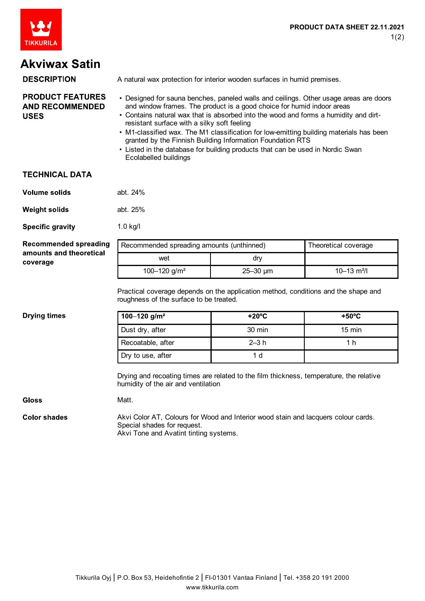

# **Akviwax Satin**

#### **DESCRIPTION** A natural wax protection for interior wooden surfaces in humid premises. **PRODUCT FEATURES** • Designed for sauna benches, paneled walls and ceilings. Other usage areas are doors **AND RECOMMENDED** and window frames. The product is a good choice for humid indoor areas • Contains natural wax that is absorbed into the wood and forms a humidity and dirt-**USES** resistant surface with a silky soft feeling • M1-classified wax. The M1 classification for low-emitting building materials has been

- granted by the Finnish Building Information Foundation RTS
- Listed in the database for building products that can be used in Nordic Swan Ecolabelled buildings

### **TECHNICAL DATA**

| Volume solids | abt. 24% |
|---------------|----------|
|---------------|----------|

**Weight solids** abt. 25%

**Specific gravity** 1.0 kg/l

**Recommended spreading** amounts and theoretical coverage

| Recommended spreading amounts (unthinned) |                 | Theoretical coverage        |
|-------------------------------------------|-----------------|-----------------------------|
| wet                                       | drv             |                             |
| 100-120 g/m <sup>2</sup>                  | $25 - 30 \mu m$ | $10 - 13$ m <sup>2</sup> /l |

Practical coverage depends on the application method, conditions and the shape and roughness of the surface to be treated.

### **Drying times**

| 100-120 g/m <sup>2</sup> | $+20^{\circ}$ C  | $+50^{\circ}$ C  |
|--------------------------|------------------|------------------|
| Dust dry, after          | $30 \text{ min}$ | $15 \text{ min}$ |
| Recoatable, after        | $2-3h$           | 1 h              |
| Dry to use, after        |                  |                  |

Drying and recoating times are related to the film thickness, temperature, the relative humidity of the air and ventilation

**Gloss** 

Matt.

**Color shades** Akvi Color AT, Colours for Wood and Interior wood stain and lacquers colour cards. Special shades for request. Akvi Tone and Avatint tinting systems.